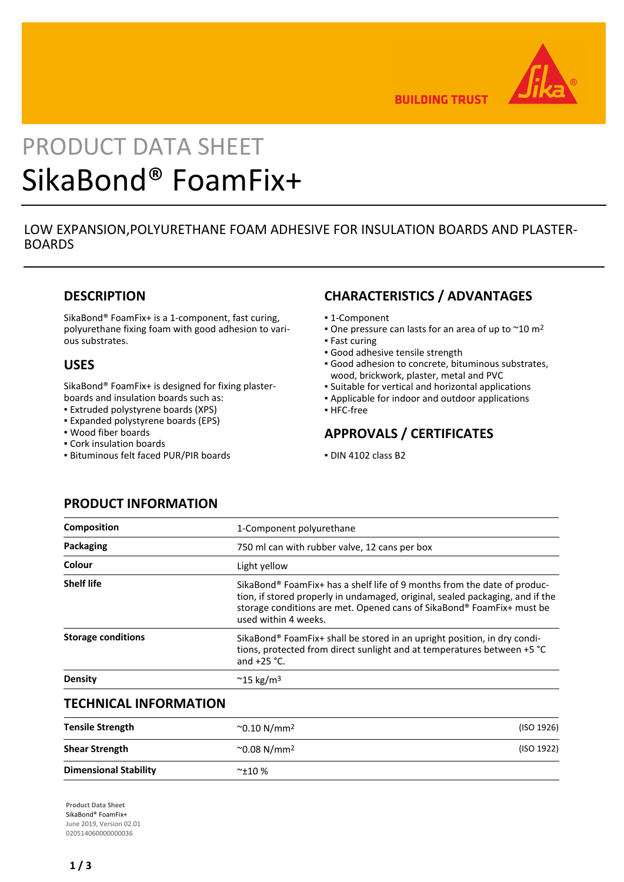

**BUILDING TRUST** 

# PRODUCT DATA SHEET SikaBond® FoamFix+

## LOW EXPANSION,POLYURETHANE FOAM ADHESIVE FOR INSULATION BOARDS AND PLASTER-BOARDS

## **DESCRIPTION**

SikaBond® FoamFix+ is a 1-component, fast curing, polyurethane fixing foam with good adhesion to various substrates.

## **USES**

SikaBond® FoamFix+ is designed for fixing plasterboards and insulation boards such as:

- Extruded polystyrene boards (XPS)
- Expanded polystyrene boards (EPS)
- Wood fiber boards
- Cork insulation boards
- Bituminous felt faced PUR/PIR boards

# **CHARACTERISTICS / ADVANTAGES**

- 1-Component
- One pressure can lasts for an area of up to  $\sim$  10 m<sup>2</sup>
- **Fast curing**
- Good adhesive tensile strength
- Good adhesion to concrete, bituminous substrates, wood, brickwork, plaster, metal and PVC
- Suitable for vertical and horizontal applications
- Applicable for indoor and outdoor applications
- HFC-free

# **APPROVALS / CERTIFICATES**

▪ DIN 4102 class B2

# **PRODUCT INFORMATION**

| 1-Component polyurethane                                                                                                                                                                                                                                               |  |
|------------------------------------------------------------------------------------------------------------------------------------------------------------------------------------------------------------------------------------------------------------------------|--|
| 750 ml can with rubber valve, 12 cans per box                                                                                                                                                                                                                          |  |
| Light yellow                                                                                                                                                                                                                                                           |  |
| SikaBond <sup>®</sup> FoamFix+ has a shelf life of 9 months from the date of produc-<br>tion, if stored properly in undamaged, original, sealed packaging, and if the<br>storage conditions are met. Opened cans of SikaBond® FoamFix+ must be<br>used within 4 weeks. |  |
| SikaBond <sup>®</sup> FoamFix+ shall be stored in an upright position, in dry condi-<br>tions, protected from direct sunlight and at temperatures between +5 °C<br>and $+25$ °C.                                                                                       |  |
| $~^{\circ}$ 15 kg/m <sup>3</sup>                                                                                                                                                                                                                                       |  |
|                                                                                                                                                                                                                                                                        |  |

## **TECHNICAL INFORMATION**

| <b>Tensile Strength</b>      | $^{\sim}$ 0.10 N/mm <sup>2</sup> | (ISO 1926) |
|------------------------------|----------------------------------|------------|
| <b>Shear Strength</b>        | $^{\sim}$ 0.08 N/mm <sup>2</sup> | (ISO 1922) |
| <b>Dimensional Stability</b> | $~^{\sim}$ ±10 %                 |            |

**Product Data Sheet** SikaBond® FoamFix+ June 2019, Version 02.01 020514060000000036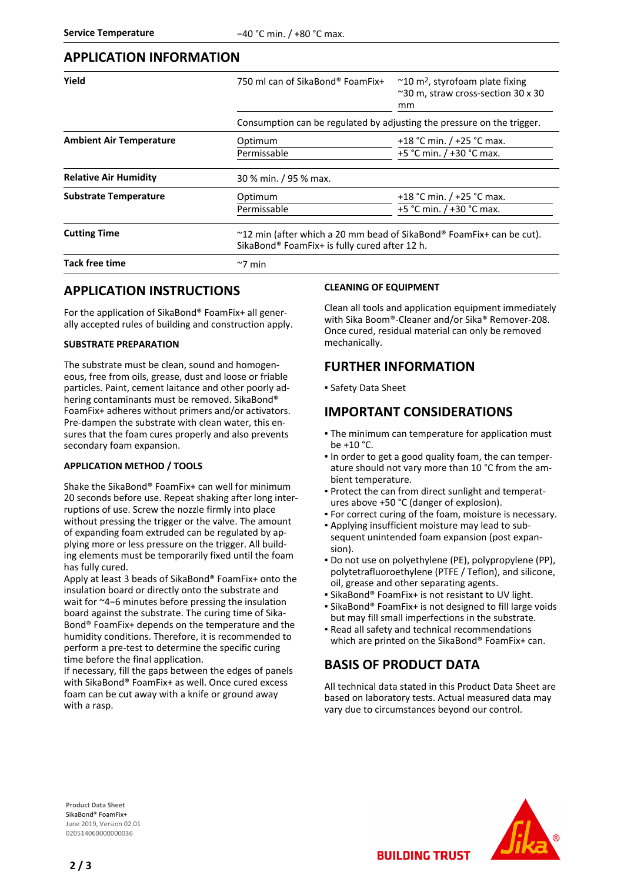## **APPLICATION INFORMATION**

| Yield                          | 750 ml can of SikaBond® FoamFix+                                                                                            | $\approx$ 10 m <sup>2</sup> , styrofoam plate fixing<br>~30 m, straw cross-section 30 x 30<br><sub>mm</sub> |  |
|--------------------------------|-----------------------------------------------------------------------------------------------------------------------------|-------------------------------------------------------------------------------------------------------------|--|
|                                | Consumption can be regulated by adjusting the pressure on the trigger.                                                      |                                                                                                             |  |
| <b>Ambient Air Temperature</b> | Optimum<br>Permissable                                                                                                      | +18 °C min. $/$ +25 °C max.<br>+5 °C min. / +30 °C max.                                                     |  |
| <b>Relative Air Humidity</b>   | 30 % min. / 95 % max.                                                                                                       |                                                                                                             |  |
| <b>Substrate Temperature</b>   | Optimum<br>Permissable                                                                                                      | +18 °C min. $/$ +25 °C max.<br>+5 °C min. $/$ +30 °C max.                                                   |  |
| <b>Cutting Time</b>            | $\sim$ 12 min (after which a 20 mm bead of SikaBond® FoamFix+ can be cut).<br>SikaBond® FoamFix+ is fully cured after 12 h. |                                                                                                             |  |
| <b>Tack free time</b>          | $\sim$ 7 min                                                                                                                |                                                                                                             |  |

## **APPLICATION INSTRUCTIONS**

For the application of SikaBond® FoamFix+ all generally accepted rules of building and construction apply.

#### **SUBSTRATE PREPARATION**

The substrate must be clean, sound and homogeneous, free from oils, grease, dust and loose or friable particles. Paint, cement laitance and other poorly adhering contaminants must be removed. SikaBond® FoamFix+ adheres without primers and/or activators. Pre-dampen the substrate with clean water, this ensures that the foam cures properly and also prevents secondary foam expansion.

#### **APPLICATION METHOD / TOOLS**

Shake the SikaBond® FoamFix+ can well for minimum 20 seconds before use. Repeat shaking after long interruptions of use. Screw the nozzle firmly into place without pressing the trigger or the valve. The amount of expanding foam extruded can be regulated by applying more or less pressure on the trigger. All building elements must be temporarily fixed until the foam has fully cured.

Apply at least 3 beads of SikaBond® FoamFix+ onto the insulation board or directly onto the substrate and wait for ~4−6 minutes before pressing the insulation board against the substrate. The curing time of Sika-Bond® FoamFix+ depends on the temperature and the humidity conditions. Therefore, it is recommended to perform a pre-test to determine the specific curing time before the final application.

If necessary, fill the gaps between the edges of panels with SikaBond® FoamFix+ as well. Once cured excess foam can be cut away with a knife or ground away with a rasp.

#### **CLEANING OF EQUIPMENT**

Clean all tools and application equipment immediately with Sika Boom®-Cleaner and/or Sika® Remover-208. Once cured, residual material can only be removed mechanically.

## **FURTHER INFORMATION**

▪ Safety Data Sheet

## **IMPORTANT CONSIDERATIONS**

- **The minimum can temperature for application must** be +10 °C.
- In order to get a good quality foam, the can temperature should not vary more than 10 °C from the ambient temperature.
- Protect the can from direct sunlight and temperat-▪ ures above +50 °C (danger of explosion).
- For correct curing of the foam, moisture is necessary.
- Applying insufficient moisture may lead to sub-▪ sequent unintended foam expansion (post expansion).
- Do not use on polyethylene (PE), polypropylene (PP), polytetrafluoroethylene (PTFE / Teflon), and silicone, oil, grease and other separating agents.
- SikaBond® FoamFix+ is not resistant to UV light.
- SikaBond® FoamFix+ is not designed to fill large voids but may fill small imperfections in the substrate.
- Read all safety and technical recommendations which are printed on the SikaBond® FoamFix+ can.

# **BASIS OF PRODUCT DATA**

All technical data stated in this Product Data Sheet are based on laboratory tests. Actual measured data may vary due to circumstances beyond our control.

**BUILDING TRUST** 

**Product Data Sheet** SikaBond® FoamFix+ June 2019, Version 02.01 020514060000000036